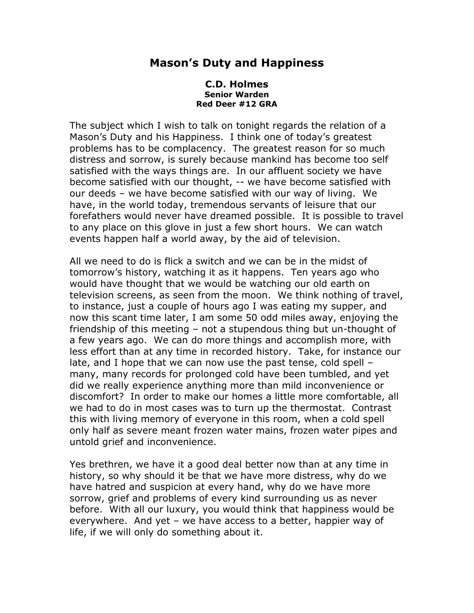## **Mason's Duty and Happiness**

## **C.D. Holmes Senior Warden Red Deer #12 GRA**

The subject which I wish to talk on tonight regards the relation of a Mason's Duty and his Happiness. I think one of today's greatest problems has to be complacency. The greatest reason for so much distress and sorrow, is surely because mankind has become too self satisfied with the ways things are. In our affluent society we have become satisfied with our thought, -- we have become satisfied with our deeds – we have become satisfied with our way of living. We have, in the world today, tremendous servants of leisure that our forefathers would never have dreamed possible. It is possible to travel to any place on this glove in just a few short hours. We can watch events happen half a world away, by the aid of television.

All we need to do is flick a switch and we can be in the midst of tomorrow's history, watching it as it happens. Ten years ago who would have thought that we would be watching our old earth on television screens, as seen from the moon. We think nothing of travel, to instance, just a couple of hours ago I was eating my supper, and now this scant time later, I am some 50 odd miles away, enjoying the friendship of this meeting – not a stupendous thing but un-thought of a few years ago. We can do more things and accomplish more, with less effort than at any time in recorded history. Take, for instance our late, and I hope that we can now use the past tense, cold spell – many, many records for prolonged cold have been tumbled, and yet did we really experience anything more than mild inconvenience or discomfort? In order to make our homes a little more comfortable, all we had to do in most cases was to turn up the thermostat. Contrast this with living memory of everyone in this room, when a cold spell only half as severe meant frozen water mains, frozen water pipes and untold grief and inconvenience.

Yes brethren, we have it a good deal better now than at any time in history, so why should it be that we have more distress, why do we have hatred and suspicion at every hand, why do we have more sorrow, grief and problems of every kind surrounding us as never before. With all our luxury, you would think that happiness would be everywhere. And yet – we have access to a better, happier way of life, if we will only do something about it.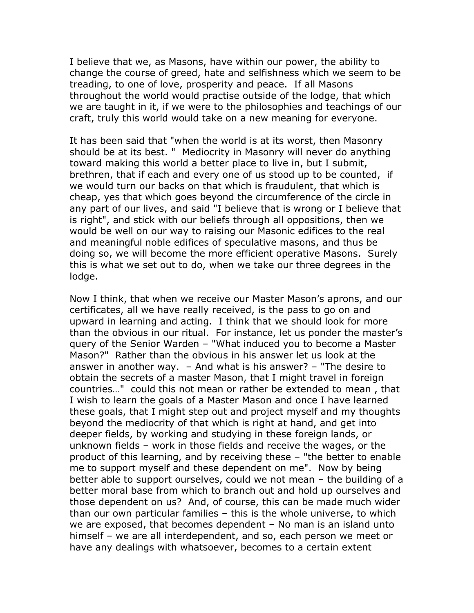I believe that we, as Masons, have within our power, the ability to change the course of greed, hate and selfishness which we seem to be treading, to one of love, prosperity and peace. If all Masons throughout the world would practise outside of the lodge, that which we are taught in it, if we were to the philosophies and teachings of our craft, truly this world would take on a new meaning for everyone.

It has been said that "when the world is at its worst, then Masonry should be at its best. " Mediocrity in Masonry will never do anything toward making this world a better place to live in, but I submit, brethren, that if each and every one of us stood up to be counted, if we would turn our backs on that which is fraudulent, that which is cheap, yes that which goes beyond the circumference of the circle in any part of our lives, and said "I believe that is wrong or I believe that is right", and stick with our beliefs through all oppositions, then we would be well on our way to raising our Masonic edifices to the real and meaningful noble edifices of speculative masons, and thus be doing so, we will become the more efficient operative Masons. Surely this is what we set out to do, when we take our three degrees in the lodge.

Now I think, that when we receive our Master Mason's aprons, and our certificates, all we have really received, is the pass to go on and upward in learning and acting. I think that we should look for more than the obvious in our ritual. For instance, let us ponder the master's query of the Senior Warden – "What induced you to become a Master Mason?" Rather than the obvious in his answer let us look at the answer in another way. – And what is his answer? – "The desire to obtain the secrets of a master Mason, that I might travel in foreign countries…" could this not mean or rather be extended to mean , that I wish to learn the goals of a Master Mason and once I have learned these goals, that I might step out and project myself and my thoughts beyond the mediocrity of that which is right at hand, and get into deeper fields, by working and studying in these foreign lands, or unknown fields – work in those fields and receive the wages, or the product of this learning, and by receiving these – "the better to enable me to support myself and these dependent on me". Now by being better able to support ourselves, could we not mean – the building of a better moral base from which to branch out and hold up ourselves and those dependent on us? And, of course, this can be made much wider than our own particular families – this is the whole universe, to which we are exposed, that becomes dependent – No man is an island unto himself – we are all interdependent, and so, each person we meet or have any dealings with whatsoever, becomes to a certain extent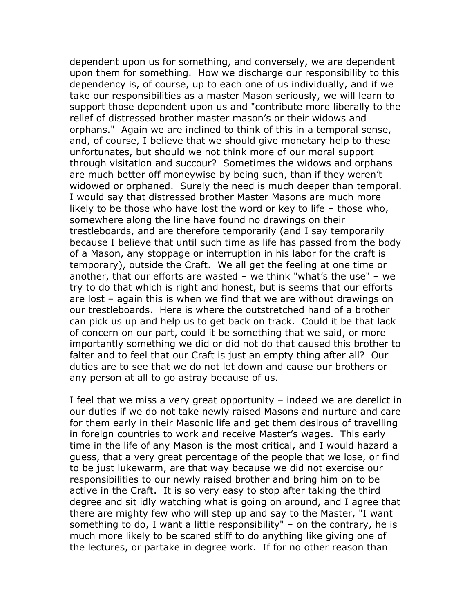dependent upon us for something, and conversely, we are dependent upon them for something. How we discharge our responsibility to this dependency is, of course, up to each one of us individually, and if we take our responsibilities as a master Mason seriously, we will learn to support those dependent upon us and "contribute more liberally to the relief of distressed brother master mason's or their widows and orphans." Again we are inclined to think of this in a temporal sense, and, of course, I believe that we should give monetary help to these unfortunates, but should we not think more of our moral support through visitation and succour? Sometimes the widows and orphans are much better off moneywise by being such, than if they weren't widowed or orphaned. Surely the need is much deeper than temporal. I would say that distressed brother Master Masons are much more likely to be those who have lost the word or key to life – those who, somewhere along the line have found no drawings on their trestleboards, and are therefore temporarily (and I say temporarily because I believe that until such time as life has passed from the body of a Mason, any stoppage or interruption in his labor for the craft is temporary), outside the Craft. We all get the feeling at one time or another, that our efforts are wasted – we think "what's the use" – we try to do that which is right and honest, but is seems that our efforts are lost – again this is when we find that we are without drawings on our trestleboards. Here is where the outstretched hand of a brother can pick us up and help us to get back on track. Could it be that lack of concern on our part, could it be something that we said, or more importantly something we did or did not do that caused this brother to falter and to feel that our Craft is just an empty thing after all? Our duties are to see that we do not let down and cause our brothers or any person at all to go astray because of us.

I feel that we miss a very great opportunity – indeed we are derelict in our duties if we do not take newly raised Masons and nurture and care for them early in their Masonic life and get them desirous of travelling in foreign countries to work and receive Master's wages. This early time in the life of any Mason is the most critical, and I would hazard a guess, that a very great percentage of the people that we lose, or find to be just lukewarm, are that way because we did not exercise our responsibilities to our newly raised brother and bring him on to be active in the Craft. It is so very easy to stop after taking the third degree and sit idly watching what is going on around, and I agree that there are mighty few who will step up and say to the Master, "I want something to do, I want a little responsibility" – on the contrary, he is much more likely to be scared stiff to do anything like giving one of the lectures, or partake in degree work. If for no other reason than